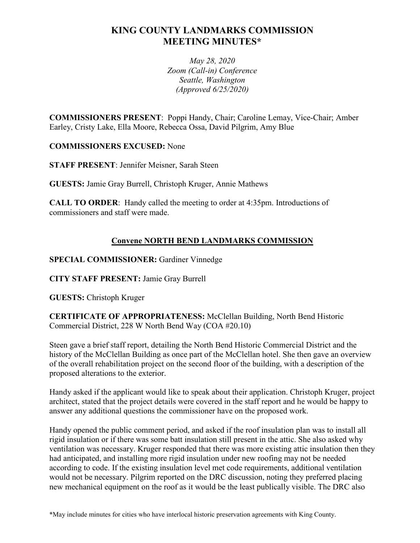# **KING COUNTY LANDMARKS COMMISSION MEETING MINUTES\***

*May 28, 2020 Zoom (Call-in) Conference Seattle, Washington (Approved 6/25/2020)*

**COMMISSIONERS PRESENT**: Poppi Handy, Chair; Caroline Lemay, Vice-Chair; Amber Earley, Cristy Lake, Ella Moore, Rebecca Ossa, David Pilgrim, Amy Blue

**COMMISSIONERS EXCUSED:** None

**STAFF PRESENT**: Jennifer Meisner, Sarah Steen

**GUESTS:** Jamie Gray Burrell, Christoph Kruger, Annie Mathews

**CALL TO ORDER**: Handy called the meeting to order at 4:35pm. Introductions of commissioners and staff were made.

# **Convene NORTH BEND LANDMARKS COMMISSION**

**SPECIAL COMMISSIONER:** Gardiner Vinnedge

**CITY STAFF PRESENT:** Jamie Gray Burrell

**GUESTS:** Christoph Kruger

**CERTIFICATE OF APPROPRIATENESS:** McClellan Building, North Bend Historic Commercial District, 228 W North Bend Way (COA #20.10)

Steen gave a brief staff report, detailing the North Bend Historic Commercial District and the history of the McClellan Building as once part of the McClellan hotel. She then gave an overview of the overall rehabilitation project on the second floor of the building, with a description of the proposed alterations to the exterior.

Handy asked if the applicant would like to speak about their application. Christoph Kruger, project architect, stated that the project details were covered in the staff report and he would be happy to answer any additional questions the commissioner have on the proposed work.

Handy opened the public comment period, and asked if the roof insulation plan was to install all rigid insulation or if there was some batt insulation still present in the attic. She also asked why ventilation was necessary. Kruger responded that there was more existing attic insulation then they had anticipated, and installing more rigid insulation under new roofing may not be needed according to code. If the existing insulation level met code requirements, additional ventilation would not be necessary. Pilgrim reported on the DRC discussion, noting they preferred placing new mechanical equipment on the roof as it would be the least publically visible. The DRC also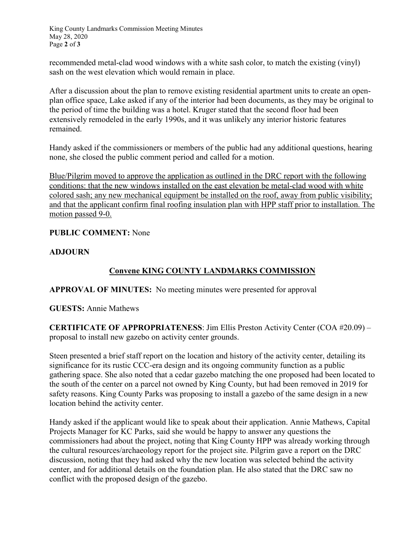King County Landmarks Commission Meeting Minutes May 28, 2020 Page **2** of **3**

recommended metal-clad wood windows with a white sash color, to match the existing (vinyl) sash on the west elevation which would remain in place.

After a discussion about the plan to remove existing residential apartment units to create an openplan office space, Lake asked if any of the interior had been documents, as they may be original to the period of time the building was a hotel. Kruger stated that the second floor had been extensively remodeled in the early 1990s, and it was unlikely any interior historic features remained.

Handy asked if the commissioners or members of the public had any additional questions, hearing none, she closed the public comment period and called for a motion.

Blue/Pilgrim moved to approve the application as outlined in the DRC report with the following conditions: that the new windows installed on the east elevation be metal-clad wood with white colored sash; any new mechanical equipment be installed on the roof, away from public visibility; and that the applicant confirm final roofing insulation plan with HPP staff prior to installation. The motion passed 9-0.

## **PUBLIC COMMENT:** None

#### **ADJOURN**

# **Convene KING COUNTY LANDMARKS COMMISSION**

**APPROVAL OF MINUTES:** No meeting minutes were presented for approval

## **GUESTS:** Annie Mathews

**CERTIFICATE OF APPROPRIATENESS**: Jim Ellis Preston Activity Center (COA #20.09) – proposal to install new gazebo on activity center grounds.

Steen presented a brief staff report on the location and history of the activity center, detailing its significance for its rustic CCC-era design and its ongoing community function as a public gathering space. She also noted that a cedar gazebo matching the one proposed had been located to the south of the center on a parcel not owned by King County, but had been removed in 2019 for safety reasons. King County Parks was proposing to install a gazebo of the same design in a new location behind the activity center.

Handy asked if the applicant would like to speak about their application. Annie Mathews, Capital Projects Manager for KC Parks, said she would be happy to answer any questions the commissioners had about the project, noting that King County HPP was already working through the cultural resources/archaeology report for the project site. Pilgrim gave a report on the DRC discussion, noting that they had asked why the new location was selected behind the activity center, and for additional details on the foundation plan. He also stated that the DRC saw no conflict with the proposed design of the gazebo.